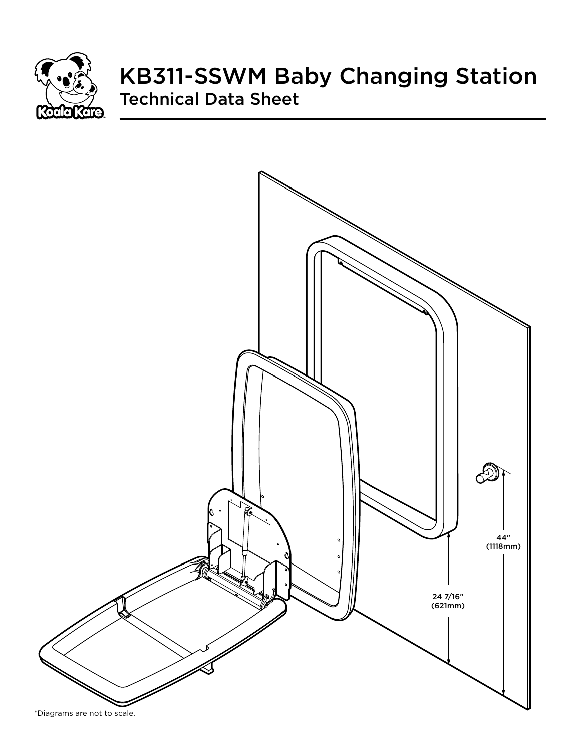

# KB311-SSWM Baby Changing Station Technical Data Sheet

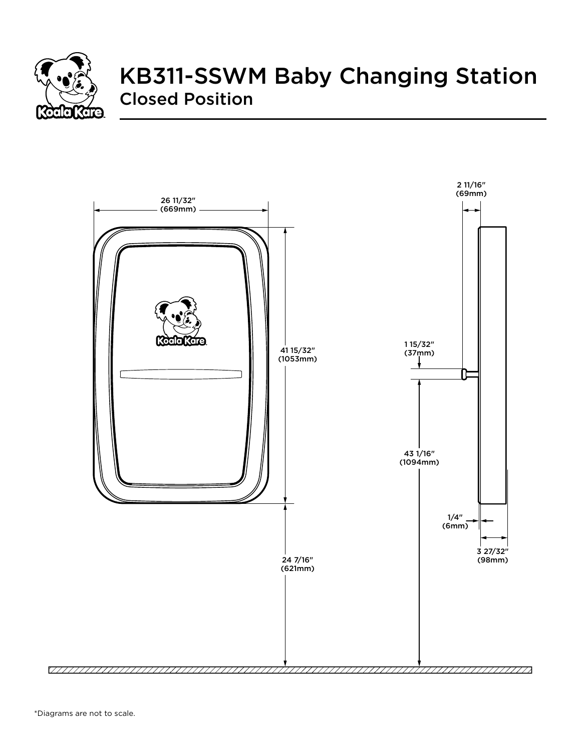

# KB311-SSWM Baby Changing Station Closed Position

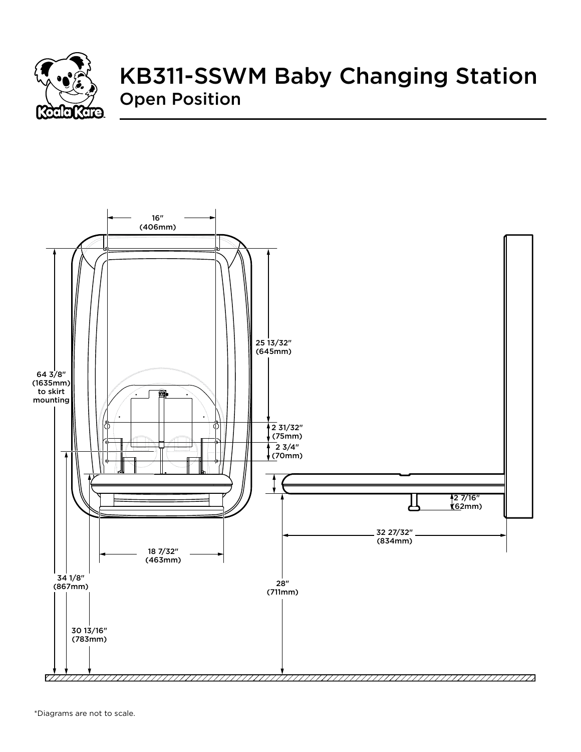

# KB311-SSWM Baby Changing Station Open Position